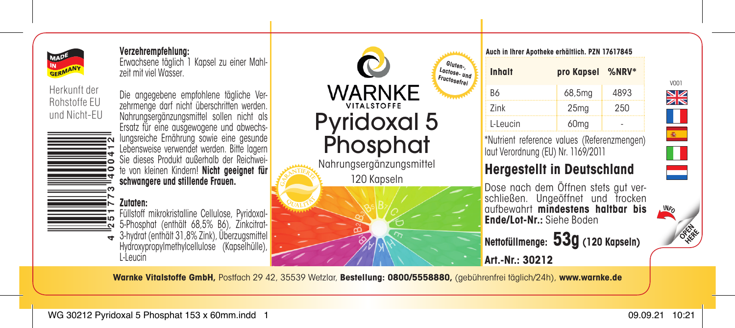

Verzehrempfehlung: Erwachsene täglich 1 Kapsel zu einer Mahlzeit mit viel Wasser.

Die angegebene empfohlene tägliche Verzehrmenge darf nicht überschritten werden. Nahrungsergänzungsmittel sollen nicht als Ersatz für eine ausgewogene und abwechs- $\bar{\bar{\mathbf{S}}}$  lungsreiche Ernährung sowie eine gesunde Lebensweise verwendet werden. Bitte lagern Sie dieses Produkt außerhalb der Reichwei- $\overline{\bullet}$  te von kleinen Kindern! Nicht geeignet für schwangere und stillende Frauen. Herkunft der Rohstoffe EU und Nicht-EU

### Zutaten:

Füllstoff mikrokristalline Cellulose, Pyridoxal-5-Phosphat (enthält 68,5% B6), Zinkcitrat- $\frac{1}{\sqrt{2}}$  3-hydrat (enthält 31,8% Zink), Überzugsmittel Hydroxypropylmethylcellulose (Kapselhülle),



# \*Nutrient reference values (Referenzmengen) laut Verordnung (EU) Nr. 1169/2011 Inhalt pro Kapsel %NRV\* B6 68,5mg 4893 Zink 25mg 250 L-Leucin | 60mg Auch in Ihrer Apotheke erhältlich. PZN 17617845

# Hergestellt in Deutschland

Dose nach dem Öffnen stets gut verschließen. Ungeöffnet und trocken aufbewahrt mindestens haltbar bis Ende/Lot-Nr.: Siehe Boden

Nettofüllmenge: 53q (120 Kapseln)

Art.-Nr.: 30212

Warnke Vitalstoffe GmbH, Postfach 29 42, 35539 Wetzlar, Bestellung: 0800/5558880, (gebührenfrei täglich/24h), www.warnke.de



vnn

<u>NK</u>

 $\overline{\mathbf{a}}$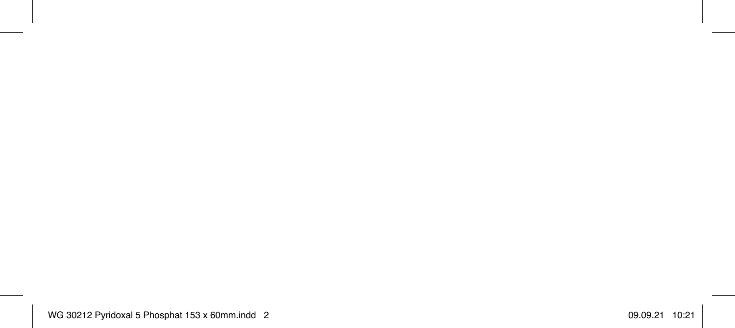WG 30212 Pyridoxal 5 Phosphat 153 x 60mm.indd 2 09.09.21 10:21 09.09.21 10:21

 $\sim$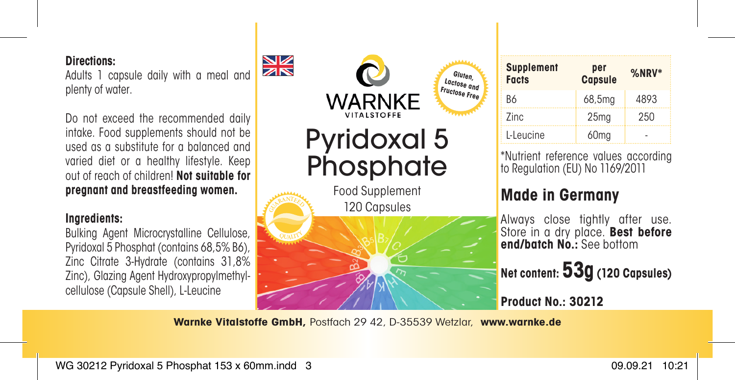#### Directions:

Adults 1 capsule daily with a meal and plenty of water.

Do not exceed the recommended daily intake. Food supplements should not be used as a substitute for a balanced and varied diet or a healthy lifestyle. Keep out of reach of children! Not suitable for pregnant and breastfeeding women.

### Ingredients:

Bulking Agent Microcrystalline Cellulose, Pyridoxal 5 Phosphat (contains 68,5% B6), Zinc Citrate 3-Hydrate (contains 31,8% Zinc), Glazing Agent Hydroxypropylmethylcellulose (Capsule Shell), L-Leucine



| <b>Supplement</b><br><b>Facts</b> | per<br><b>Capsule</b> | $%$ NRV* |
|-----------------------------------|-----------------------|----------|
| R6                                | 68,5mg                | 4893     |
| Zinc                              | 25 <sub>mg</sub>      | 250      |
| L-Leucine                         | 60 <sub>mg</sub>      |          |

\*Nutrient reference values according to Regulation (EU) No 1169/2011

# Made in Germany

Always close tightly after use. Store in a dry place. Best before end/batch No. See bottom

Net content: 53g (120 Capsules)

Product No.: 30212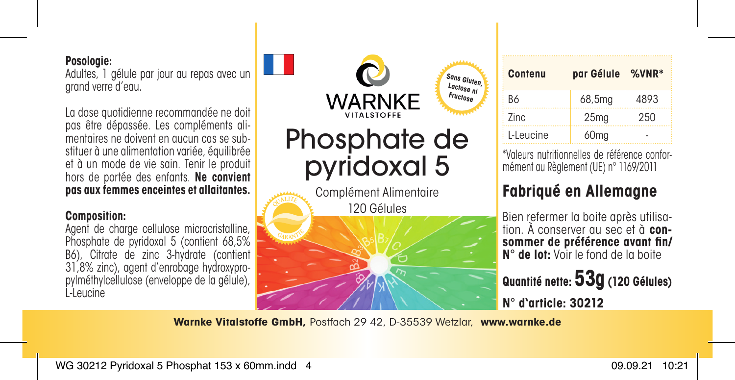#### Posologie:

Adultes. 1 gélule par jour au repas avec un grand verre d'eau.

La dose quotidienne recommandée ne doit pas être dépassée. Les compléments alimentaires ne doivent en aucun cas se substituer à une alimentation variée, équilibrée et à un mode de vie sain. Tenir le produit hors de portée des enfants. Ne convient pas aux femmes enceintes et allaitantes.

### Composition:

Agent de charge cellulose microcristalline, Phosphate de pyridoxal 5 (contient 68.5%) B6), Citrate de zinc 3-hydrate (contient 31,8% zinc), agent d'enrobage hydroxypropylméthylcellulose (enveloppe de la gélule), L-Leucine



**TERRIT** 

Sans Gluter Lactose ni Fructose

# Phosphate de pyridoxal 5



| Contenu     | par Gélule %VNR* |      |
|-------------|------------------|------|
| R6          | 68,5mg           | 4893 |
| <b>Zinc</b> | 25 <sub>mg</sub> | 250  |
| L-Leucine   | 60 <sub>mg</sub> |      |

\*Valeurs nutritionnelles de référence conformément au Règlement (UE) n° 1169/2011

Bien refermer la boite après utilisation. À conserver au sec et à consommer de préférence avant fin/ N° de lot: Voir le fond de la boite

Quantité nette: 53g (120 Gélules)

N° d'article: 30212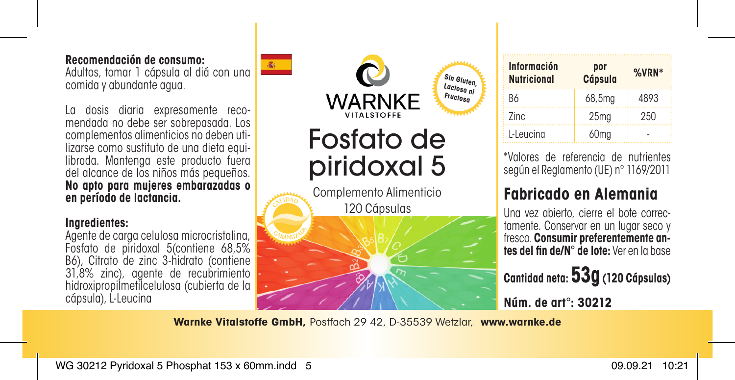### Recomendación de consumo:

Adultos, tomar 1 cápsula al diá con una comida y abundante agua.

La dosis diaria expresamente recomendada no debe ser sobrepasada. Los complementos alimenticios no deben utilizarse como sustituto de una dieta equilibrada. Mantenga este producto fuera del alcance de los niños más pequeños. No apto para mujeres embarazadas o en período de lactancia.

### Ingredientes:

Agente de carga celulosa microcristalina, Fosfato de piridoxal 5(contiene 68,5% B6), Citrato de zinc 3-hidrato (contiene 31,8% zinc), agente de recubrimiento hidroxipropilmetilcelulosa (cubierta de la cápsula), L-Leucina



piridoxal 5

120 Cápsulas

**CALIDA<sup>D</sup> <sup>G</sup>ARANTIZAD<sup>A</sup>**

 $\langle \widehat{\mathbf{g}} \rangle$  .

| Información<br><b>Nutricional</b> | por<br>Cápsula   | $%$ VRN* |
|-----------------------------------|------------------|----------|
| R6                                | 68,5mg           | 4893     |
| <b>Zinc</b>                       | 25 <sub>mg</sub> | 250      |
| L-Leucina                         | 60 <sub>mg</sub> |          |

\*Valores de referencia de nutrientes según el Reglamento (UE) n° 1169/2011

# Complemento Alimenticio **Fabricado en Alemania**

Una vez abierto, cierre el bote correctamente. Conservar en un lugar seco y fresco. Consumir preferentemente an tes del fin de/N° de lote: Ver en la base

Cantidad neta: 53g (120 Cápsulas)

Núm. de art°: 30212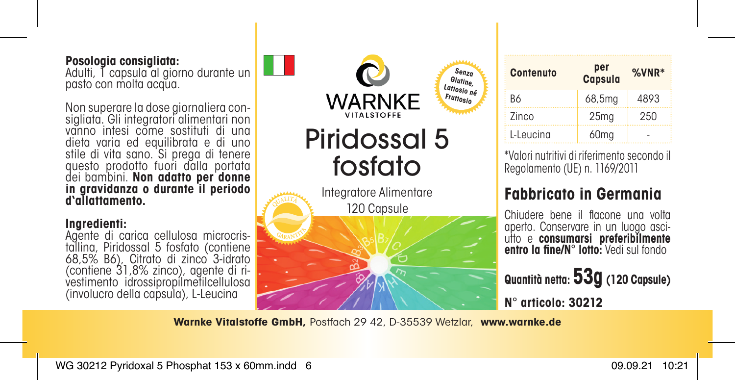#### Posologia consigliata:

Adulti, I capsula al giorno durante un pasto con molta acqua.

Non superare la dose giornaliera con- sigliata. Gli integratori alimentari non vanno intesi come sostituti di una dieta varia ed equilibrata e di uno stile di vita sano. Si prega di tenere questo prodotto fuori dalla portata<br>dei bambini. **Non adatto per donne** in gravidanza o durante il periodo d'allattamento.

Ingredienti:<br>Agente di carica cellulosa microcris-Agente di carica cellulosa microcris-<br>tallina, Piridossal 5 fosfato (contiene<br>68,5% B6), Citrato di zinco 3-idrato (contiene 31,8% zinco), agente di ri- vestimento idrossipropilmetilcellulosa (involucro della capsula), L-Leucina



| Contenuto | per<br>Capsula   | $%$ VNR* |
|-----------|------------------|----------|
| R6        | 68,5mg           | 4893     |
| Zinco     | 25 <sub>mg</sub> | 250      |
| L-Leucina | 60 <sub>mg</sub> |          |

\*Valori nutritivi di riferimento secondo il Regolamento (UE) n. 1169/2011

Chiudere bene il flacone una volta aperto. Conservare in un luogo asci utto e consumarsi preferibilmente entro la fine/N° lotto: Vedi sul fondo

Quantità netta: 53g (120 Capsule)

N° articolo: 30212